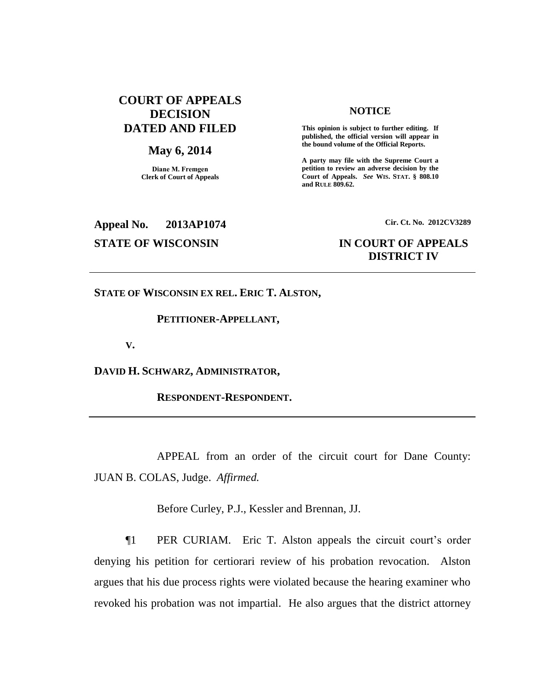# **COURT OF APPEALS DECISION DATED AND FILED**

## **May 6, 2014**

**Diane M. Fremgen Clerk of Court of Appeals**

## **NOTICE**

**This opinion is subject to further editing. If published, the official version will appear in the bound volume of the Official Reports.** 

**A party may file with the Supreme Court a petition to review an adverse decision by the Court of Appeals.** *See* **WIS. STAT. § 808.10 and RULE 809.62.** 

# **Appeal No. 2013AP1074 Cir. Ct. No. 2012CV3289**

# **STATE OF WISCONSIN IN COURT OF APPEALS DISTRICT IV**

**STATE OF WISCONSIN EX REL. ERIC T. ALSTON,**

## **PETITIONER-APPELLANT,**

**V.**

**DAVID H. SCHWARZ, ADMINISTRATOR,**

**RESPONDENT-RESPONDENT.**

APPEAL from an order of the circuit court for Dane County: JUAN B. COLAS, Judge. *Affirmed.*

Before Curley, P.J., Kessler and Brennan, JJ.

¶1 PER CURIAM. Eric T. Alston appeals the circuit court's order denying his petition for certiorari review of his probation revocation. Alston argues that his due process rights were violated because the hearing examiner who revoked his probation was not impartial. He also argues that the district attorney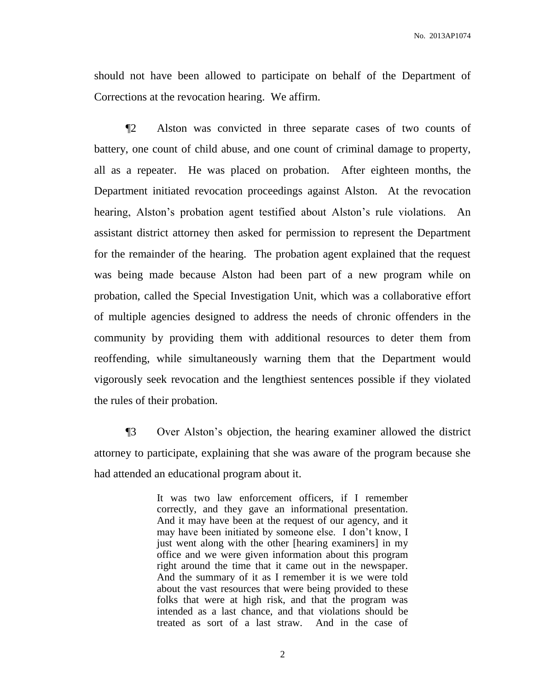No. 2013AP1074

should not have been allowed to participate on behalf of the Department of Corrections at the revocation hearing. We affirm.

¶2 Alston was convicted in three separate cases of two counts of battery, one count of child abuse, and one count of criminal damage to property, all as a repeater. He was placed on probation. After eighteen months, the Department initiated revocation proceedings against Alston. At the revocation hearing, Alston's probation agent testified about Alston's rule violations. An assistant district attorney then asked for permission to represent the Department for the remainder of the hearing. The probation agent explained that the request was being made because Alston had been part of a new program while on probation, called the Special Investigation Unit, which was a collaborative effort of multiple agencies designed to address the needs of chronic offenders in the community by providing them with additional resources to deter them from reoffending, while simultaneously warning them that the Department would vigorously seek revocation and the lengthiest sentences possible if they violated the rules of their probation.

¶3 Over Alston's objection, the hearing examiner allowed the district attorney to participate, explaining that she was aware of the program because she had attended an educational program about it.

> It was two law enforcement officers, if I remember correctly, and they gave an informational presentation. And it may have been at the request of our agency, and it may have been initiated by someone else. I don't know, I just went along with the other [hearing examiners] in my office and we were given information about this program right around the time that it came out in the newspaper. And the summary of it as I remember it is we were told about the vast resources that were being provided to these folks that were at high risk, and that the program was intended as a last chance, and that violations should be treated as sort of a last straw. And in the case of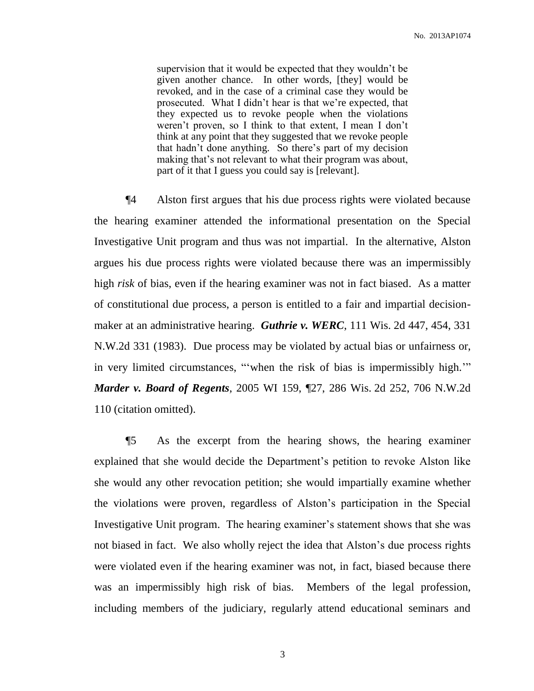supervision that it would be expected that they wouldn't be given another chance. In other words, [they] would be revoked, and in the case of a criminal case they would be prosecuted. What I didn't hear is that we're expected, that they expected us to revoke people when the violations weren't proven, so I think to that extent, I mean I don't think at any point that they suggested that we revoke people that hadn't done anything. So there's part of my decision making that's not relevant to what their program was about, part of it that I guess you could say is [relevant].

¶4 Alston first argues that his due process rights were violated because the hearing examiner attended the informational presentation on the Special Investigative Unit program and thus was not impartial. In the alternative, Alston argues his due process rights were violated because there was an impermissibly high *risk* of bias, even if the hearing examiner was not in fact biased. As a matter of constitutional due process, a person is entitled to a fair and impartial decisionmaker at an administrative hearing. *Guthrie v. WERC*, 111 Wis. 2d 447, 454, 331 N.W.2d 331 (1983). Due process may be violated by actual bias or unfairness or, in very limited circumstances, "'when the risk of bias is impermissibly high.'" *Marder v. Board of Regents*, 2005 WI 159, ¶27, 286 Wis. 2d 252, 706 N.W.2d 110 (citation omitted).

¶5 As the excerpt from the hearing shows, the hearing examiner explained that she would decide the Department's petition to revoke Alston like she would any other revocation petition; she would impartially examine whether the violations were proven, regardless of Alston's participation in the Special Investigative Unit program. The hearing examiner's statement shows that she was not biased in fact. We also wholly reject the idea that Alston's due process rights were violated even if the hearing examiner was not, in fact, biased because there was an impermissibly high risk of bias. Members of the legal profession, including members of the judiciary, regularly attend educational seminars and

3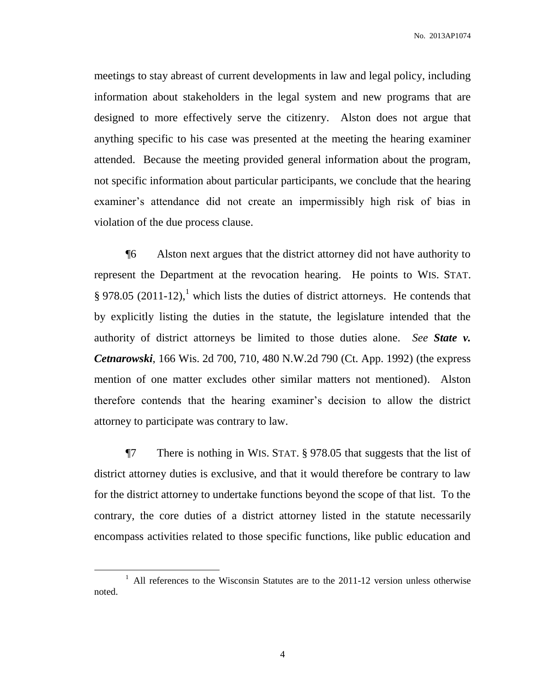meetings to stay abreast of current developments in law and legal policy, including information about stakeholders in the legal system and new programs that are designed to more effectively serve the citizenry. Alston does not argue that anything specific to his case was presented at the meeting the hearing examiner attended. Because the meeting provided general information about the program, not specific information about particular participants, we conclude that the hearing examiner's attendance did not create an impermissibly high risk of bias in violation of the due process clause.

¶6 Alston next argues that the district attorney did not have authority to represent the Department at the revocation hearing. He points to WIS. STAT.  $\S 978.05$  (2011-12),<sup>1</sup> which lists the duties of district attorneys. He contends that by explicitly listing the duties in the statute, the legislature intended that the authority of district attorneys be limited to those duties alone. *See State v. Cetnarowski*, 166 Wis. 2d 700, 710, 480 N.W.2d 790 (Ct. App. 1992) (the express mention of one matter excludes other similar matters not mentioned). Alston therefore contends that the hearing examiner's decision to allow the district attorney to participate was contrary to law.

¶7 There is nothing in WIS. STAT. § 978.05 that suggests that the list of district attorney duties is exclusive, and that it would therefore be contrary to law for the district attorney to undertake functions beyond the scope of that list. To the contrary, the core duties of a district attorney listed in the statute necessarily encompass activities related to those specific functions, like public education and

 $\overline{a}$ 

<sup>&</sup>lt;sup>1</sup> All references to the Wisconsin Statutes are to the 2011-12 version unless otherwise noted.